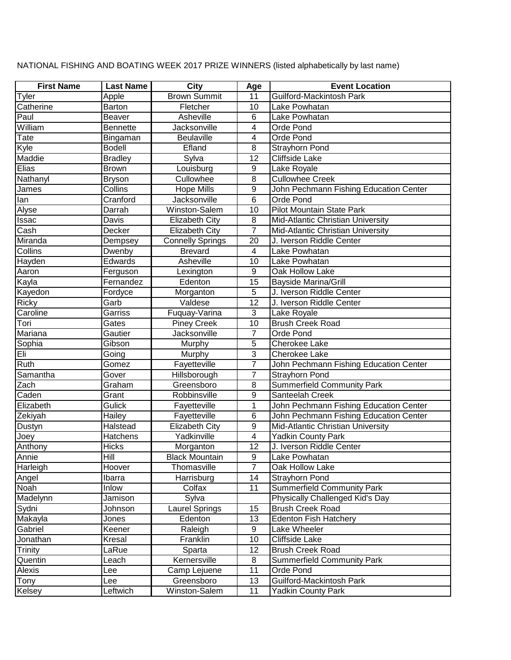| <b>First Name</b>        | <b>Last Name</b> | City                    | Age             | <b>Event Location</b>                  |
|--------------------------|------------------|-------------------------|-----------------|----------------------------------------|
| Tyler                    | Apple            | <b>Brown Summit</b>     | 11              | Guilford-Mackintosh Park               |
| Catherine                | Barton           | Fletcher                | 10              | Lake Powhatan                          |
| Paul                     | Beaver           | Asheville               | 6               | Lake Powhatan                          |
| William                  | Bennette         | Jacksonville            | 4               | Orde Pond                              |
| Tate                     | Bingaman         | <b>Beulaville</b>       | 4               | Orde Pond                              |
| Kyle                     | <b>Bodell</b>    | Efland                  | 8               | Strayhorn Pond                         |
| Maddie                   | <b>Bradley</b>   | Sylva                   | 12              | <b>Cliffside Lake</b>                  |
| Elias                    | <b>Brown</b>     | Louisburg               | 9               | Lake Royale                            |
| Nathanyl                 | <b>Bryson</b>    | Cullowhee               | 8               | <b>Cullowhee Creek</b>                 |
| James                    | Collins          | <b>Hope Mills</b>       | 9               | John Pechmann Fishing Education Center |
| lan                      | Cranford         | Jacksonville            | 6               | Orde Pond                              |
| Alyse                    | Darrah           | Winston-Salem           | 10              | Pilot Mountain State Park              |
| Issac                    | Davis            | <b>Elizabeth City</b>   | 8               | Mid-Atlantic Christian University      |
| Cash                     | Decker           | <b>Elizabeth City</b>   | $\overline{7}$  | Mid-Atlantic Christian University      |
| Miranda                  | Dempsey          | <b>Connelly Springs</b> | 20              | J. Iverson Riddle Center               |
| Collins                  | Dwenby           | <b>Brevard</b>          | $\overline{4}$  | Lake Powhatan                          |
| Hayden                   | Edwards          | Asheville               | 10              | Lake Powhatan                          |
| Aaron                    | Ferguson         | Lexington               | 9               | Oak Hollow Lake                        |
| Kayla                    | Fernandez        | Edenton                 | 15              | <b>Bayside Marina/Grill</b>            |
| Kayedon                  | Fordyce          | Morganton               | 5               | J. Iverson Riddle Center               |
| <b>Ricky</b>             | Garb             | Valdese                 | $\overline{12}$ | J. Iverson Riddle Center               |
| Caroline                 | Garriss          | Fuquay-Varina           | 3               | Lake Royale                            |
| Tori                     | Gates            | <b>Piney Creek</b>      | 10              | <b>Brush Creek Road</b>                |
| Mariana                  | Gautier          | <b>Jacksonville</b>     | $\overline{7}$  | Orde Pond                              |
| Sophia                   | Gibson           | Murphy                  | 5               | Cherokee Lake                          |
| Eli                      | Going            | Murphy                  | 3               | <b>Cherokee Lake</b>                   |
| Ruth                     | Gomez            | Fayetteville            | $\overline{7}$  | John Pechmann Fishing Education Center |
| Samantha                 | Gover            | Hillsborough            | $\overline{7}$  | Strayhorn Pond                         |
| <b>Contract Contract</b> |                  |                         | $\sim$          | $\cdots$<br>$\sim$ $\sim$ $\sim$       |

NATIONAL FISHING AND BOATING WEEK 2017 PRIZE WINNERS (listed alphabetically by last name)

| Ruth      | Gomez        | Fayetteville          |    | John Pechmann Fishing Education Center |
|-----------|--------------|-----------------------|----|----------------------------------------|
| Samantha  | Gover        | Hillsborough          | 7  | Strayhorn Pond                         |
| Zach      | Graham       | Greensboro            | 8  | <b>Summerfield Community Park</b>      |
| Caden     | Grant        | Robbinsville          | 9  | Santeelah Creek                        |
| Elizabeth | Gulick       | Fayetteville          |    | John Pechmann Fishing Education Center |
| Zekiyah   | Hailey       | Fayetteville          | 6  | John Pechmann Fishing Education Center |
| Dustyn    | Halstead     | <b>Elizabeth City</b> | 9  | Mid-Atlantic Christian University      |
| Joey      | Hatchens     | Yadkinville           | 4  | <b>Yadkin County Park</b>              |
| Anthony   | <b>Hicks</b> | Morganton             | 12 | J. Iverson Riddle Center               |
| Annie     | Hill         | <b>Black Mountain</b> | 9  | Lake Powhatan                          |
| Harleigh  | Hoover       | Thomasville           | 7  | Oak Hollow Lake                        |
| Angel     | Ibarra       | Harrisburg            | 14 | Strayhorn Pond                         |
| Noah      | <b>Inlow</b> | Colfax                | 11 | <b>Summerfield Community Park</b>      |
| Madelynn  | Jamison      | Sylva                 |    | Physically Challenged Kid's Day        |
| Sydni     | Johnson      | Laurel Springs        | 15 | <b>Brush Creek Road</b>                |
| Makayla   | Jones        | <b>Edenton</b>        | 13 | <b>Edenton Fish Hatchery</b>           |
| Gabriel   | Keener       | Raleigh               | 9  | Lake Wheeler                           |
| Jonathan  | Kresal       | Franklin              | 10 | Cliffside Lake                         |
| Trinity   | LaRue        | Sparta                | 12 | <b>Brush Creek Road</b>                |
| Quentin   | Leach        | Kernersville          | 8  | <b>Summerfield Community Park</b>      |
| Alexis    | Lee          | Camp Lejuene          | 11 | Orde Pond                              |
| Tony      | Lee          | Greensboro            | 13 | Guilford-Mackintosh Park               |
| Kelsey    | Leftwich     | Winston-Salem         | 11 | Yadkin County Park                     |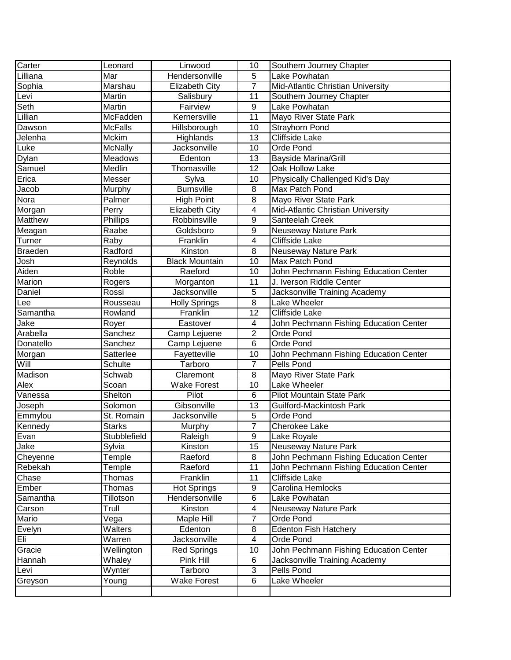| Carter        | Leonard             | Linwood               | 10                      | Southern Journey Chapter               |
|---------------|---------------------|-----------------------|-------------------------|----------------------------------------|
| Lilliana      | Mar                 | Hendersonville        | 5                       | Lake Powhatan                          |
| Sophia        | Marshau             | <b>Elizabeth City</b> | $\overline{7}$          | Mid-Atlantic Christian University      |
| Levi          | Martin              | Salisbury             | 11                      | Southern Journey Chapter               |
| Seth          | Martin              | Fairview              | 9                       | Lake Powhatan                          |
| Lillian       | McFadden            | Kernersville          | 11                      | Mayo River State Park                  |
| Dawson        | <b>McFalls</b>      | Hillsborough          | 10                      | Strayhorn Pond                         |
| Jelenha       | Mckim               | Highlands             | 13                      | <b>Cliffside Lake</b>                  |
| Luke          | <b>McNally</b>      | Jacksonville          | 10                      | Orde Pond                              |
| Dylan         | Meadows             | Edenton               | 13                      | <b>Bayside Marina/Grill</b>            |
| Samuel        | Medlin              | Thomasville           | 12                      | Oak Hollow Lake                        |
| Erica         | Messer              | Sylva                 | 10                      | Physically Challenged Kid's Day        |
| Jacob         | Murphy              | <b>Burnsville</b>     | 8                       | Max Patch Pond                         |
| Nora          | Palmer              | <b>High Point</b>     | 8                       | Mayo River State Park                  |
| Morgan        | Perry               | <b>Elizabeth City</b> | $\overline{\mathbf{4}}$ | Mid-Atlantic Christian University      |
| Matthew       | Phillips            | Robbinsville          | 9                       | Santeelah Creek                        |
| Meagan        | Raabe               | Goldsboro             | 9                       | Neuseway Nature Park                   |
| Turner        | Raby                | Franklin              | $\overline{\mathbf{4}}$ | <b>Cliffside Lake</b>                  |
| Braeden       | Radford             | Kinston               | 8                       | Neuseway Nature Park                   |
| Josh          | Reynolds            | <b>Black Mountain</b> | 10                      | Max Patch Pond                         |
| Aiden         | Roble               | Raeford               | 10                      | John Pechmann Fishing Education Center |
| <b>Marion</b> | Rogers              | Morganton             | 11                      | J. Iverson Riddle Center               |
| Daniel        | Rossi               | Jacksonville          | 5                       | Jacksonville Training Academy          |
| Lee           | Rousseau            | <b>Holly Springs</b>  | $\overline{8}$          | Lake Wheeler                           |
| Samantha      | Rowland             | Franklin              | 12                      | <b>Cliffside Lake</b>                  |
| Jake          | Royer               | Eastover              | $\overline{\mathbf{4}}$ | John Pechmann Fishing Education Center |
| Arabella      | Sanchez             | Camp Lejuene          | $\overline{2}$          | Orde Pond                              |
| Donatello     | Sanchez             | Camp Lejuene          | 6                       | Orde Pond                              |
| Morgan        | Satterlee           | Fayetteville          | 10                      | John Pechmann Fishing Education Center |
| Will          | Schulte             | Tarboro               | $\overline{7}$          | Pells Pond                             |
| Madison       | Schwab              | Claremont             | 8                       | Mayo River State Park                  |
| Alex          | Scoan               | <b>Wake Forest</b>    | 10                      | Lake Wheeler                           |
| Vanessa       | Shelton             | Pilot                 | 6                       | Pilot Mountain State Park              |
| Joseph        | Solomon             | Gibsonville           | 13                      | Guilford-Mackintosh Park               |
| Emmylou       | St. Romain          | Jacksonville          | 5                       | Orde Pond                              |
| Kennedy       | <b>Starks</b>       | Murphy                | $\overline{7}$          | Cherokee Lake                          |
| Evan          | Stubblefield        | Raleigh               | 9                       | Lake Royale                            |
| Jake          | Sylvia              | Kinston               | 15                      | Neuseway Nature Park                   |
| Cheyenne      | Temple              | Raeford               | 8                       | John Pechmann Fishing Education Center |
| Rebekah       | Temple              | Raeford               | 11                      | John Pechmann Fishing Education Center |
| Chase         | Thomas              | Franklin              | 11                      | <b>Cliffside Lake</b>                  |
| Ember         | Thomas              | Hot Springs           | 9                       | Carolina Hemlocks                      |
| Samantha      | Tillotson           | Hendersonville        | 6                       | Lake Powhatan                          |
| Carson        | Trull               | Kinston               | 4                       | Neuseway Nature Park                   |
| Mario         | Vega                | Maple Hill            | $\overline{7}$          | Orde Pond                              |
| Evelyn        | Walters             | Edenton               | 8                       | <b>Edenton Fish Hatchery</b>           |
| Eli           | Warren              | Jacksonville          | 4                       | Orde Pond                              |
| Gracie        | Wellington          | <b>Red Springs</b>    | 10                      | John Pechmann Fishing Education Center |
| Hannah        | Whaley              | Pink Hill             | 6                       | Jacksonville Training Academy          |
| Levi          | Wynter              | Tarboro               | 3                       | Pells Pond                             |
| Greyson       | $\overline{Y}$ oung | <b>Wake Forest</b>    | 6                       | Lake Wheeler                           |
|               |                     |                       |                         |                                        |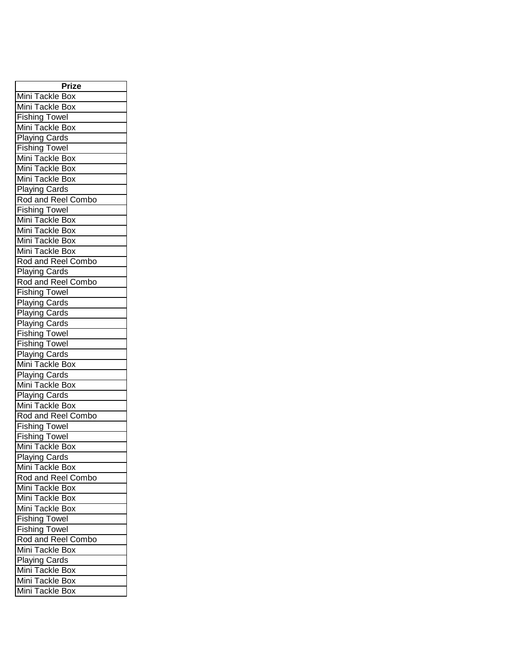| Prize                                                                       |
|-----------------------------------------------------------------------------|
| Mini Tackle Box<br>Mini Tackle Box                                          |
|                                                                             |
| <b>Fishing Towel</b>                                                        |
| Mini Tackle Box                                                             |
| <b>Playing Cards</b>                                                        |
| <b>Fishing Towel</b>                                                        |
| Mini Tackle Box                                                             |
| Mini Tackle Box                                                             |
| Mini Tackle Box                                                             |
| <b>Playing Cards</b>                                                        |
| Rod and Reel Combo                                                          |
| <b>Fishing Towel</b>                                                        |
| Mini Tackle Box                                                             |
| Mini Tackle Box<br>Mini Tackle Box<br>Mini Tackle Box<br>Rod and Reel Combo |
|                                                                             |
|                                                                             |
|                                                                             |
| <b>Playing Cards</b>                                                        |
| Rod and Reel Combo                                                          |
| <b>Fishing Towel</b>                                                        |
| Playing Cards                                                               |
| <b>Playing Cards</b>                                                        |
| <b>Playing Cards</b>                                                        |
| <b>Fishing Towel</b>                                                        |
| <b>Fishing Towel</b>                                                        |
| <b>Playing Cards</b>                                                        |
| Mini Tackle Box                                                             |
| <b>Playing Cards</b>                                                        |
| Mini Tackle Box                                                             |
| <b>Playing Cards</b>                                                        |
| Mini Tackle Box                                                             |
| Rod and Reel Combo                                                          |
|                                                                             |
| <b>Fishing Towel</b><br>Fishing Towel                                       |
| Mini Tackle Box                                                             |
|                                                                             |
| <b>Playing Cards</b>                                                        |
| Mini Tackle Box                                                             |
| Rod and Reel Combo                                                          |
| Mini Tackle Box                                                             |
| Mini Tackle Box                                                             |
| Mini Tackle Box                                                             |
| <b>Fishing Towel</b>                                                        |
| <b>Fishing Towel</b>                                                        |
| Rod and Reel Combo                                                          |
| Mini Tackle Box                                                             |
| <b>Playing Cards</b>                                                        |
| <b>Tackle Box</b><br>Mini                                                   |
| Mini Tackle Box                                                             |
| Mini Tackle Box                                                             |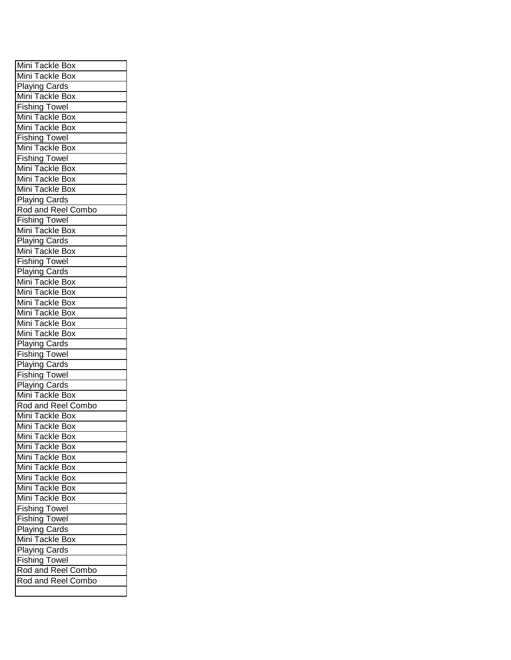| Mini Tackle Box                    |
|------------------------------------|
| Mini Tackle Box                    |
| Playing Cards                      |
| Mini Tackle Box                    |
| <b>Fishing Towel</b>               |
| Mini Tackle Box                    |
| Mini Tackle Box                    |
| <b>Fishing Towel</b>               |
| Mini Tackle Box                    |
| <b>Fishing Towel</b>               |
| Mini Tackle Box                    |
| Mini Tackle Box                    |
| Mini Tackle Box                    |
| <b>Playing Cards</b>               |
| Rod and Reel Combo                 |
| <b>Fishing Towel</b>               |
| Mini Tackle Box                    |
| <b>Playing Cards</b>               |
| Mini Tackle Box                    |
| <b>Fishing Towel</b>               |
| <b>Playing Cards</b>               |
| Mini Tackle Box                    |
| Mini Tackle Box                    |
| Mini Tackle Box                    |
| Mini Tackle Box                    |
| Mini Tackle Box                    |
| Mini Tackle Box                    |
| <b>Playing Cards</b>               |
| <b>Fishing Towel</b>               |
| Playing Cards                      |
| <b>Fishing Towel</b>               |
| <b>Playing Cards</b>               |
| Mini Tackle Box                    |
| Rod and Reel Combo                 |
| Mini Tackle Box<br>Mini Tackle Box |
|                                    |
| Mini Tackle Box                    |
| <b>Tackle Box</b><br>Mini          |
| Mini<br>Tackle Box                 |
| Tackle Box<br>Mini 1               |
| Mini i<br>Tackle Box               |
| Mini i<br>Tackle Box               |
| Mini<br>Tackle Box                 |
| <b>Fishing Towel</b>               |
| <b>Fishing Towel</b>               |
| <b>Playing Cards</b>               |
| Mini Tackle Box                    |
| <b>Playing Cards</b>               |
| <b>Fishing Towel</b>               |
| Rod and Reel Combo                 |
| Rod and Reel Combo                 |
|                                    |